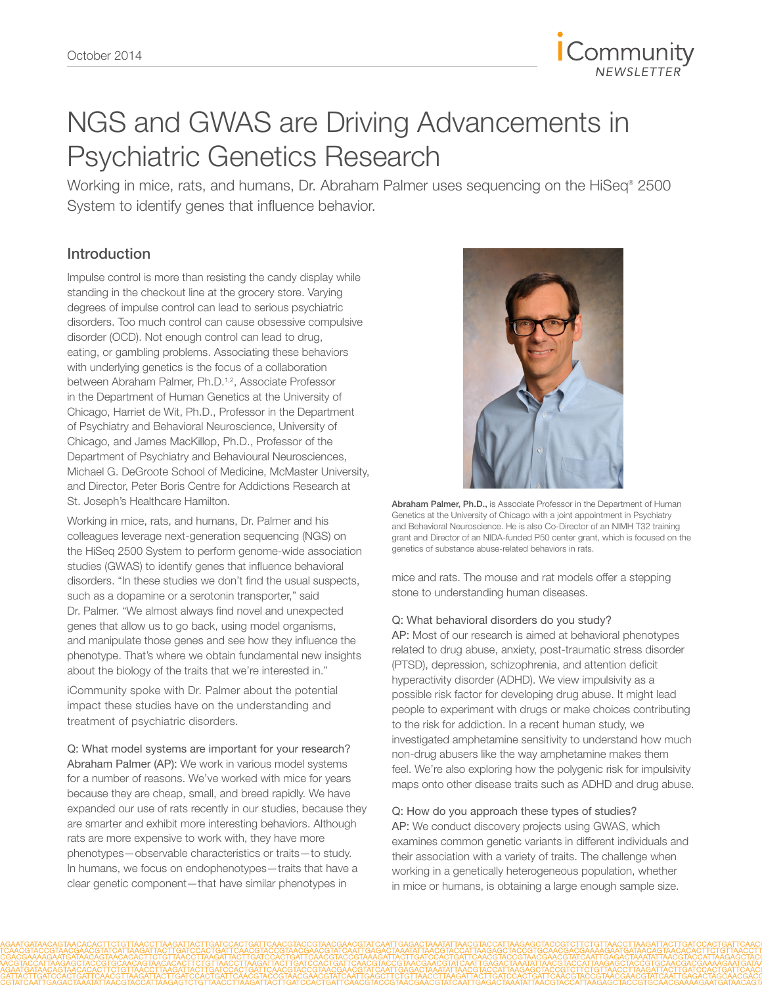

# NGS and GWAS are Driving Advancements in Psychiatric Genetics Research

Working in mice, rats, and humans, Dr. Abraham Palmer uses sequencing on the HiSeq® 2500 System to identify genes that influence behavior.

## Introduction

Impulse control is more than resisting the candy display while standing in the checkout line at the grocery store. Varying degrees of impulse control can lead to serious psychiatric disorders. Too much control can cause obsessive compulsive disorder (OCD). Not enough control can lead to drug, eating, or gambling problems. Associating these behaviors with underlying genetics is the focus of a collaboration between Abraham Palmer, Ph.D.<sup>[1](#page-3-0),[2](#page-3-1)</sup>, Associate Professor in the Department of Human Genetics at the University of Chicago, Harriet de Wit, Ph.D., Professor in the Department of Psychiatry and Behavioral Neuroscience, University of Chicago, and James MacKillop, Ph.D., Professor of the Department of Psychiatry and Behavioural Neurosciences, Michael G. DeGroote School of Medicine, McMaster University, and Director, Peter Boris Centre for Addictions Research at St. Joseph's Healthcare Hamilton.

Working in mice, rats, and humans, Dr. Palmer and his colleagues leverage next-generation sequencing (NGS) on the HiSeq 2500 System to perform genome-wide association studies (GWAS) to identify genes that influence behavioral disorders. "In these studies we don't find the usual suspects, such as a dopamine or a serotonin transporter," said Dr. Palmer. "We almost always find novel and unexpected genes that allow us to go back, using model organisms, and manipulate those genes and see how they influence the phenotype. That's where we obtain fundamental new insights about the biology of the traits that we're interested in."

iCommunity spoke with Dr. Palmer about the potential impact these studies have on the understanding and treatment of psychiatric disorders.

Q: What model systems are important for your research? Abraham Palmer (AP): We work in various model systems for a number of reasons. We've worked with mice for years because they are cheap, small, and breed rapidly. We have expanded our use of rats recently in our studies, because they are smarter and exhibit more interesting behaviors. Although rats are more expensive to work with, they have more phenotypes—observable characteristics or traits—to study. In humans, we focus on endophenotypes—traits that have a clear genetic component—that have similar phenotypes in



Abraham Palmer, Ph.D., is Associate Professor in the Department of Human Genetics at the University of Chicago with a joint appointment in Psychiatry and Behavioral Neuroscience. He is also Co-Director of an NIMH T32 training grant and Director of an NIDA-funded P50 center grant, which is focused on the genetics of substance abuse-related behaviors in rats.

mice and rats. The mouse and rat models offer a stepping stone to understanding human diseases.

#### Q: What behavioral disorders do you study?

AP: Most of our research is aimed at behavioral phenotypes related to drug abuse, anxiety, post-traumatic stress disorder (PTSD), depression, schizophrenia, and attention deficit hyperactivity disorder (ADHD). We view impulsivity as a possible risk factor for developing drug abuse. It might lead people to experiment with drugs or make choices contributing to the risk for addiction. In a recent human study, we investigated amphetamine sensitivity to understand how much non-drug abusers like the way amphetamine makes them feel. We're also exploring how the polygenic risk for impulsivity maps onto other disease traits such as ADHD and drug abuse.

#### Q: How do you approach these types of studies?

AP: We conduct discovery projects using GWAS, which examines common genetic variants in different individuals and their association with a variety of traits. The challenge when working in a genetically heterogeneous population, whether in mice or humans, is obtaining a large enough sample size.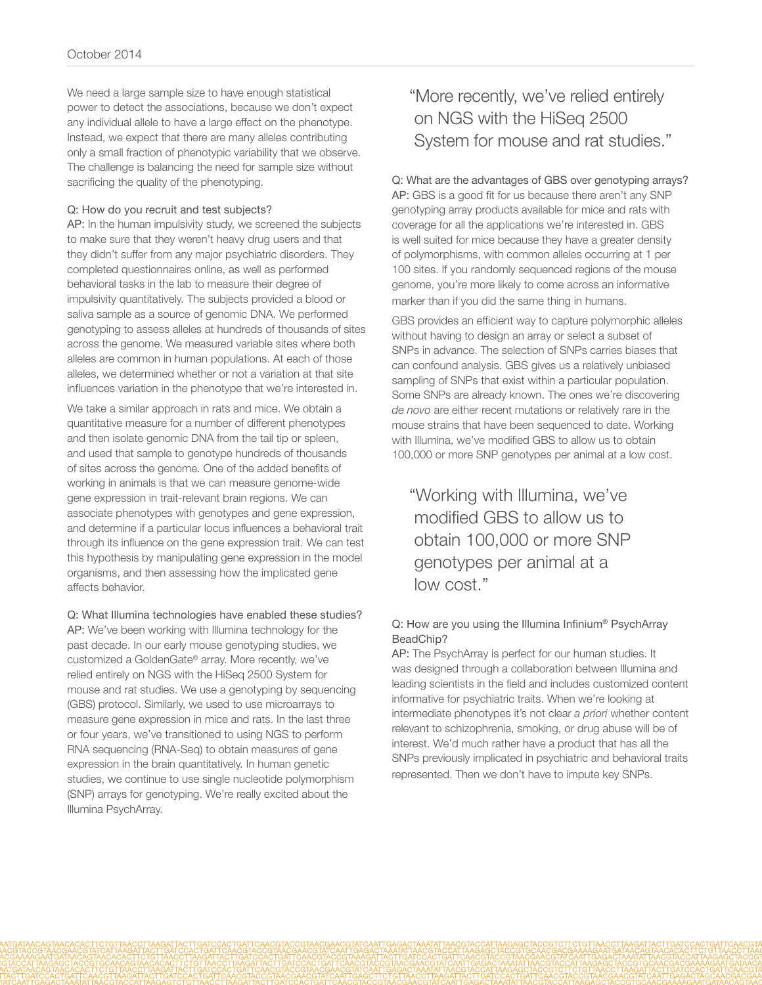We need a large sample size to have enough statistical power to detect the associations, because we don't expect any individual allele to have a large effect on the phenotype. Instead, we expect that there are many alleles contributing only a small fraction of phenotypic variability that we observe. The challenge is balancing the need for sample size without sacrificing the quality of the phenotyping.

#### Q: How do you recruit and test subjects?

AP: In the human impulsivity study, we screened the subjects to make sure that they weren't heavy drug users and that they didn't suffer from any major psychiatric disorders. They completed questionnaires online, as well as performed behavioral tasks in the lab to measure their degree of impulsivity quantitatively. The subjects provided a blood or saliva sample as a source of genomic DNA. We performed genotyping to assess alleles at hundreds of thousands of sites across the genome. We measured variable sites where both alleles are common in human populations. At each of those alleles, we determined whether or not a variation at that site influences variation in the phenotype that we're interested in.

We take a similar approach in rats and mice. We obtain a quantitative measure for a number of different phenotypes and then isolate genomic DNA from the tail tip or spleen, and used that sample to genotype hundreds of thousands of sites across the genome. One of the added benefits of working in animals is that we can measure genome-wide gene expression in trait-relevant brain regions. We can associate phenotypes with genotypes and gene expression, and determine if a particular locus influences a behavioral trait through its influence on the gene expression trait. We can test this hypothesis by manipulating gene expression in the model organisms, and then assessing how the implicated gene affects behavior.

Q: What Illumina technologies have enabled these studies? AP: We've been working with Illumina technology for the past decade. In our early mouse genotyping studies, we customized a GoldenGate® array. More recently, we've relied entirely on NGS with the HiSeq 2500 System for mouse and rat studies. We use a genotyping by sequencing (GBS) protocol. Similarly, we used to use microarrays to measure gene expression in mice and rats. In the last three or four years, we've transitioned to using NGS to perform RNA sequencing (RNA-Seq) to obtain measures of gene expression in the brain quantitatively. In human genetic studies, we continue to use single nucleotide polymorphism (SNP) arrays for genotyping. We're really excited about the Illumina PsychArray.

# "More recently, we've relied entirely on NGS with the HiSeq 2500 System for mouse and rat studies."

#### Q: What are the advantages of GBS over genotyping arrays?

AP: GBS is a good fit for us because there aren't any SNP genotyping array products available for mice and rats with coverage for all the applications we're interested in. GBS is well suited for mice because they have a greater density of polymorphisms, with common alleles occurring at 1 per 100 sites. If you randomly sequenced regions of the mouse genome, you're more likely to come across an informative marker than if you did the same thing in humans.

GBS provides an efficient way to capture polymorphic alleles without having to design an array or select a subset of SNPs in advance. The selection of SNPs carries biases that can confound analysis. GBS gives us a relatively unbiased sampling of SNPs that exist within a particular population. Some SNPs are already known. The ones we're discovering *de novo* are either recent mutations or relatively rare in the mouse strains that have been sequenced to date. Working with Illumina, we've modified GBS to allow us to obtain 100,000 or more SNP genotypes per animal at a low cost.

"Working with Illumina, we've modified GBS to allow us to obtain 100,000 or more SNP genotypes per animal at a low cost."

#### Q: How are you using the Illumina Infinium® PsychArray BeadChip?

AP: The PsychArray is perfect for our human studies. It was designed through a collaboration between Illumina and leading scientists in the field and includes customized content informative for psychiatric traits. When we're looking at intermediate phenotypes it's not clear *a priori* whether content relevant to schizophrenia, smoking, or drug abuse will be of interest. We'd much rather have a product that has all the SNPs previously implicated in psychiatric and behavioral traits represented. Then we don't have to impute key SNPs.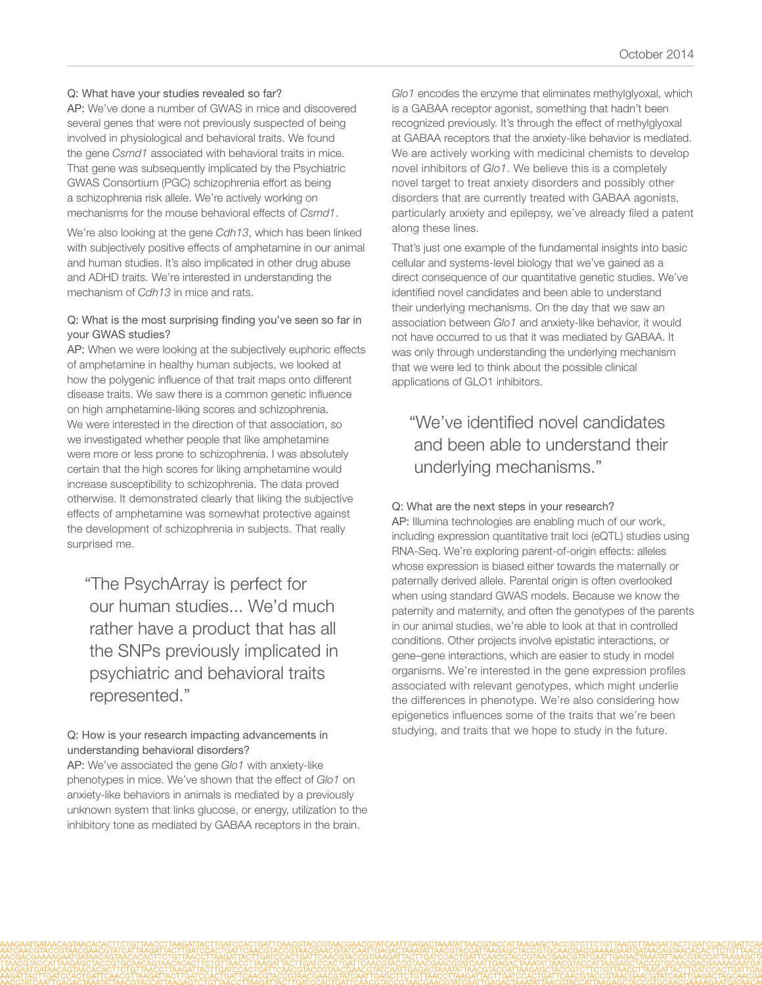#### Q: What have your studies revealed so far?

AP: We've done a number of GWAS in mice and discovered several genes that were not previously suspected of being involved in physiological and behavioral traits. We found the gene *Csmd1* associated with behavioral traits in mice. That gene was subsequently implicated by the Psychiatric GWAS Consortium (PGC) schizophrenia effort as being a schizophrenia risk allele. We're actively working on mechanisms for the mouse behavioral effects of *Csmd1*.

We're also looking at the gene *Cdh13*, which has been linked with subjectively positive effects of amphetamine in our animal and human studies. It's also implicated in other drug abuse and ADHD traits. We're interested in understanding the mechanism of *Cdh13* in mice and rats.

#### Q: What is the most surprising finding you've seen so far in your GWAS studies?

AP: When we were looking at the subjectively euphoric effects of amphetamine in healthy human subjects, we looked at how the polygenic influence of that trait maps onto different disease traits. We saw there is a common genetic influence on high amphetamine-liking scores and schizophrenia. We were interested in the direction of that association, so we investigated whether people that like amphetamine were more or less prone to schizophrenia. I was absolutely certain that the high scores for liking amphetamine would increase susceptibility to schizophrenia. The data proved otherwise. It demonstrated clearly that liking the subjective effects of amphetamine was somewhat protective against the development of schizophrenia in subjects. That really surprised me.

"The PsychArray is perfect for our human studies... We'd much rather have a product that has all the SNPs previously implicated in psychiatric and behavioral traits represented."

#### Q: How is your research impacting advancements in understanding behavioral disorders?

AP: We've associated the gene *Glo1* with anxiety-like phenotypes in mice. We've shown that the effect of *Glo1* on anxiety-like behaviors in animals is mediated by a previously unknown system that links glucose, or energy, utilization to the inhibitory tone as mediated by GABAA receptors in the brain.

*Glo1* encodes the enzyme that eliminates methylglyoxal, which is a GABAA receptor agonist, something that hadn't been recognized previously. It's through the effect of methylglyoxal at GABAA receptors that the anxiety-like behavior is mediated. We are actively working with medicinal chemists to develop novel inhibitors of *Glo1*. We believe this is a completely novel target to treat anxiety disorders and possibly other disorders that are currently treated with GABAA agonists, particularly anxiety and epilepsy, we've already filed a patent along these lines.

That's just one example of the fundamental insights into basic cellular and systems-level biology that we've gained as a direct consequence of our quantitative genetic studies. We've identified novel candidates and been able to understand their underlying mechanisms. On the day that we saw an association between *Glo1* and anxiety-like behavior, it would not have occurred to us that it was mediated by GABAA. It was only through understanding the underlying mechanism that we were led to think about the possible clinical applications of GLO1 inhibitors.

# "We've identified novel candidates and been able to understand their underlying mechanisms."

#### Q: What are the next steps in your research?

AP: Illumina technologies are enabling much of our work, including expression quantitative trait loci (eQTL) studies using RNA-Seq. We're exploring parent-of-origin effects: alleles whose expression is biased either towards the maternally or paternally derived allele. Parental origin is often overlooked when using standard GWAS models. Because we know the paternity and maternity, and often the genotypes of the parents in our animal studies, we're able to look at that in controlled conditions. Other projects involve epistatic interactions, or gene–gene interactions, which are easier to study in model organisms. We're interested in the gene expression profiles associated with relevant genotypes, which might underlie the differences in phenotype. We're also considering how epigenetics influences some of the traits that we're been studying, and traits that we hope to study in the future.